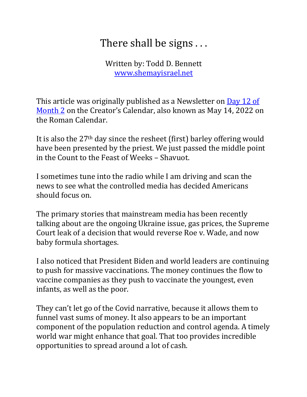## There shall be signs ...

Written by: Todd D. Bennett www.shemayisrael.net

This article was originally published as a Newsletter on Day 12 of Month 2 on the Creator's Calendar, also known as May 14, 2022 on the Roman Calendar.

It is also the  $27<sup>th</sup>$  day since the resheet (first) barley offering would have been presented by the priest. We just passed the middle point in the Count to the Feast of Weeks – Shavuot.

I sometimes tune into the radio while I am driving and scan the news to see what the controlled media has decided Americans should focus on.

The primary stories that mainstream media has been recently talking about are the ongoing Ukraine issue, gas prices, the Supreme Court leak of a decision that would reverse Roe v. Wade, and now baby formula shortages.

I also noticed that President Biden and world leaders are continuing to push for massive vaccinations. The money continues the flow to vaccine companies as they push to vaccinate the youngest, even infants, as well as the poor.

They can't let go of the Covid narrative, because it allows them to funnel vast sums of money. It also appears to be an important component of the population reduction and control agenda. A timely world war might enhance that goal. That too provides incredible opportunities to spread around a lot of cash.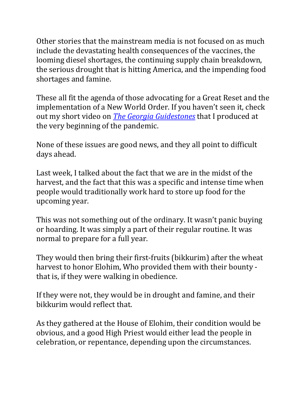Other stories that the mainstream media is not focused on as much include the devastating health consequences of the vaccines, the looming diesel shortages, the continuing supply chain breakdown, the serious drought that is hitting America, and the impending food shortages and famine.

These all fit the agenda of those advocating for a Great Reset and the implementation of a New World Order. If you haven't seen it, check out my short video on *The Georgia Guidestones* that I produced at the very beginning of the pandemic.

None of these issues are good news, and they all point to difficult days ahead.

Last week, I talked about the fact that we are in the midst of the harvest, and the fact that this was a specific and intense time when people would traditionally work hard to store up food for the upcoming year.

This was not something out of the ordinary. It wasn't panic buying or hoarding. It was simply a part of their regular routine. It was normal to prepare for a full year.

They would then bring their first-fruits (bikkurim) after the wheat harvest to honor Elohim, Who provided them with their bounty that is, if they were walking in obedience.

If they were not, they would be in drought and famine, and their bikkurim would reflect that.

As they gathered at the House of Elohim, their condition would be obvious, and a good High Priest would either lead the people in celebration, or repentance, depending upon the circumstances.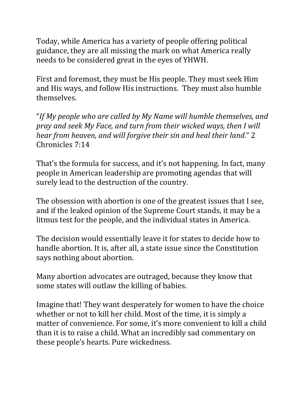Today, while America has a variety of people offering political guidance, they are all missing the mark on what America really needs to be considered great in the eyes of YHWH.

First and foremost, they must be His people. They must seek Him and His ways, and follow His instructions. They must also humble themselves.

"If My people who are called by My Name will humble themselves, and *pray and seek My Face, and turn from their wicked ways, then I will hear from heaven, and will forgive their sin and heal their land."* 2 Chronicles 7:14

That's the formula for success, and it's not happening. In fact, many people in American leadership are promoting agendas that will surely lead to the destruction of the country.

The obsession with abortion is one of the greatest issues that I see, and if the leaked opinion of the Supreme Court stands, it may be a litmus test for the people, and the individual states in America.

The decision would essentially leave it for states to decide how to handle abortion. It is, after all, a state issue since the Constitution says nothing about abortion.

Many abortion advocates are outraged, because they know that some states will outlaw the killing of babies.

Imagine that! They want desperately for women to have the choice whether or not to kill her child. Most of the time, it is simply a matter of convenience. For some, it's more convenient to kill a child than it is to raise a child. What an incredibly sad commentary on these people's hearts. Pure wickedness.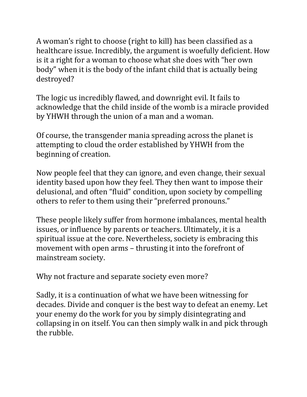A woman's right to choose (right to kill) has been classified as a healthcare issue. Incredibly, the argument is woefully deficient. How is it a right for a woman to choose what she does with "her own body" when it is the body of the infant child that is actually being destroyed?

The logic us incredibly flawed, and downright evil. It fails to acknowledge that the child inside of the womb is a miracle provided by YHWH through the union of a man and a woman.

Of course, the transgender mania spreading across the planet is attempting to cloud the order established by YHWH from the beginning of creation.

Now people feel that they can ignore, and even change, their sexual identity based upon how they feel. They then want to impose their delusional, and often "fluid" condition, upon society by compelling others to refer to them using their "preferred pronouns."

These people likely suffer from hormone imbalances, mental health issues, or influence by parents or teachers. Ultimately, it is a spiritual issue at the core. Nevertheless, society is embracing this movement with open arms – thrusting it into the forefront of mainstream society.

Why not fracture and separate society even more?

Sadly, it is a continuation of what we have been witnessing for decades. Divide and conquer is the best way to defeat an enemy. Let your enemy do the work for you by simply disintegrating and collapsing in on itself. You can then simply walk in and pick through the rubble.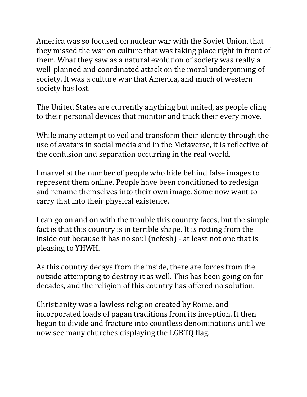America was so focused on nuclear war with the Soviet Union, that they missed the war on culture that was taking place right in front of them. What they saw as a natural evolution of society was really a well-planned and coordinated attack on the moral underpinning of society. It was a culture war that America, and much of western society has lost.

The United States are currently anything but united, as people cling to their personal devices that monitor and track their every move.

While many attempt to veil and transform their identity through the use of avatars in social media and in the Metaverse, it is reflective of the confusion and separation occurring in the real world.

I marvel at the number of people who hide behind false images to represent them online. People have been conditioned to redesign and rename themselves into their own image. Some now want to carry that into their physical existence.

I can go on and on with the trouble this country faces, but the simple fact is that this country is in terrible shape. It is rotting from the inside out because it has no soul (nefesh) - at least not one that is pleasing to YHWH.

As this country decays from the inside, there are forces from the outside attempting to destroy it as well. This has been going on for decades, and the religion of this country has offered no solution.

Christianity was a lawless religion created by Rome, and incorporated loads of pagan traditions from its inception. It then began to divide and fracture into countless denominations until we now see many churches displaying the LGBTQ flag.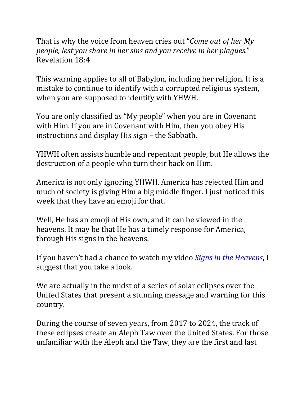That is why the voice from heaven cries out "*Come out of her My people, lest you share in her sins and you receive in her plagues."* Revelation 18:4

This warning applies to all of Babylon, including her religion. It is a mistake to continue to identify with a corrupted religious system, when you are supposed to identify with YHWH.

You are only classified as "My people" when you are in Covenant with Him. If you are in Covenant with Him, then you obey His instructions and display His sign – the Sabbath.

YHWH often assists humble and repentant people, but He allows the destruction of a people who turn their back on Him.

America is not only ignoring YHWH. America has rejected Him and much of society is giving Him a big middle finger. I just noticed this week that they have an emoji for that.

Well, He has an emoji of His own, and it can be viewed in the heavens. It may be that He has a timely response for America, through His signs in the heavens.

If you haven't had a chance to watch my video *Signs in the Heavens*, I suggest that you take a look.

We are actually in the midst of a series of solar eclipses over the United States that present a stunning message and warning for this country. 

During the course of seven years, from 2017 to 2024, the track of these eclipses create an Aleph Taw over the United States. For those unfamiliar with the Aleph and the Taw, they are the first and last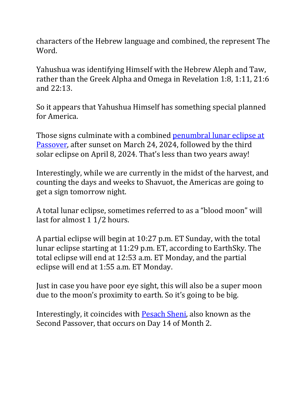characters of the Hebrew language and combined, the represent The Word.

Yahushua was identifying Himself with the Hebrew Aleph and Taw, rather than the Greek Alpha and Omega in Revelation 1:8, 1:11, 21:6 and 22:13.

So it appears that Yahushua Himself has something special planned for America.

Those signs culminate with a combined **penumbral lunar eclipse at** Passover, after sunset on March 24, 2024, followed by the third solar eclipse on April 8, 2024. That's less than two years away!

Interestingly, while we are currently in the midst of the harvest, and counting the days and weeks to Shavuot, the Americas are going to get a sign tomorrow night.

A total lunar eclipse, sometimes referred to as a "blood moon" will last for almost  $11/2$  hours.

A partial eclipse will begin at  $10:27$  p.m. ET Sunday, with the total lunar eclipse starting at 11:29 p.m. ET, according to EarthSky. The total eclipse will end at 12:53 a.m. ET Monday, and the partial eclipse will end at 1:55 a.m. ET Monday.

Just in case you have poor eye sight, this will also be a super moon due to the moon's proximity to earth. So it's going to be big.

Interestingly, it coincides with **Pesach Sheni**, also known as the Second Passover, that occurs on Day 14 of Month 2.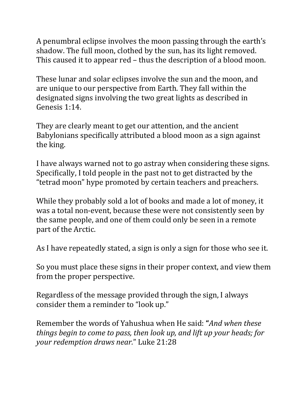A penumbral eclipse involves the moon passing through the earth's shadow. The full moon, clothed by the sun, has its light removed. This caused it to appear red - thus the description of a blood moon.

These lunar and solar eclipses involve the sun and the moon, and are unique to our perspective from Earth. They fall within the designated signs involving the two great lights as described in Genesis 1:14.

They are clearly meant to get our attention, and the ancient Babylonians specifically attributed a blood moon as a sign against the king.

I have always warned not to go astray when considering these signs. Specifically, I told people in the past not to get distracted by the "tetrad moon" hype promoted by certain teachers and preachers.

While they probably sold a lot of books and made a lot of money, it was a total non-event, because these were not consistently seen by the same people, and one of them could only be seen in a remote part of the Arctic.

As I have repeatedly stated, a sign is only a sign for those who see it.

So you must place these signs in their proper context, and view them from the proper perspective.

Regardless of the message provided through the sign, I always consider them a reminder to "look up."

Remember the words of Yahushua when He said: "*And when these things begin to come to pass, then look up, and lift up your heads; for your redemption draws near.*" Luke 21:28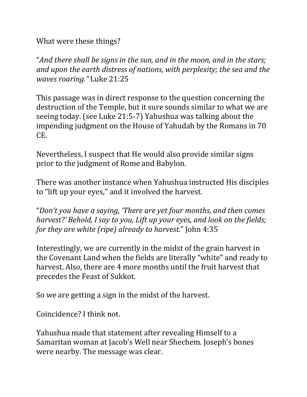What were these things?

"And there shall be signs in the sun, and in the moon, and in the stars; and upon the earth distress of nations, with perplexity; the sea and the *waves roaring."* Luke 21:25

This passage was in direct response to the question concerning the destruction of the Temple, but it sure sounds similar to what we are seeing today. (see Luke 21:5-7) Yahushua was talking about the impending judgment on the House of Yahudah by the Romans in 70 CE.

Nevertheless, I suspect that He would also provide similar signs prior to the judgment of Rome and Babylon.

There was another instance when Yahushua instructed His disciples to "lift up your eyes," and it involved the harvest.

"Don't you have a saying, 'There are yet four months, and then comes *harvest?' Behold, I say to you, Lift up your eyes, and look on the fields; for they are white (ripe) already to harvest.*" *John 4:35* 

Interestingly, we are currently in the midst of the grain harvest in the Covenant Land when the fields are literally "white" and ready to harvest. Also, there are 4 more months until the fruit harvest that precedes the Feast of Sukkot.

So we are getting a sign in the midst of the harvest.

Coincidence? I think not.

Yahushua made that statement after revealing Himself to a Samaritan woman at Jacob's Well near Shechem. Joseph's bones were nearby. The message was clear.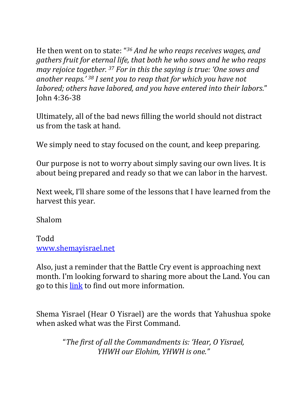He then went on to state: "<sup>36</sup> And he who reaps receives wages, and *gathers fruit for eternal life, that both he who sows and he who reaps may rejoice together.* <sup>37</sup> *For in this the saying is true: 'One sows and* another reaps.<sup>' 38</sup> *I* sent you to reap that for which you have not *labored;* others have labored, and you have entered into their labors." John 4:36-38

Ultimately, all of the bad news filling the world should not distract us from the task at hand.

We simply need to stay focused on the count, and keep preparing.

Our purpose is not to worry about simply saving our own lives. It is about being prepared and ready so that we can labor in the harvest.

Next week, I'll share some of the lessons that I have learned from the harvest this year.

Shalom

Todd www.shemayisrael.net

Also, just a reminder that the Battle Cry event is approaching next month. I'm looking forward to sharing more about the Land. You can go to this link to find out more information.

Shema Yisrael (Hear O Yisrael) are the words that Yahushua spoke when asked what was the First Command.

> "The first of all the Commandments is: 'Hear, O Yisrael, *YHWH our Elohim, YHWH is one."*